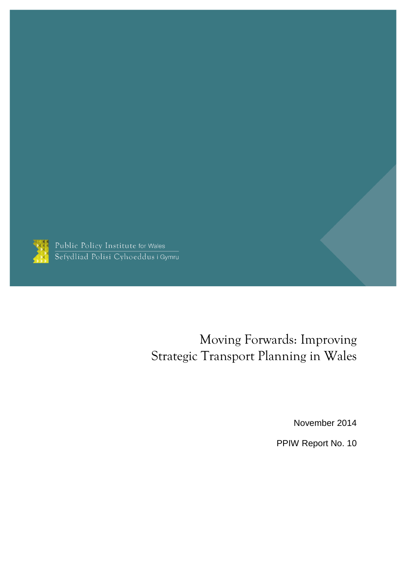

Public Policy Institute for Wales<br>Sefydliad Polisi Cyhoeddus i Gymru

# Moving Forwards: Improving Strategic Transport Planning in Wales

November 2014

PPIW Report No. 10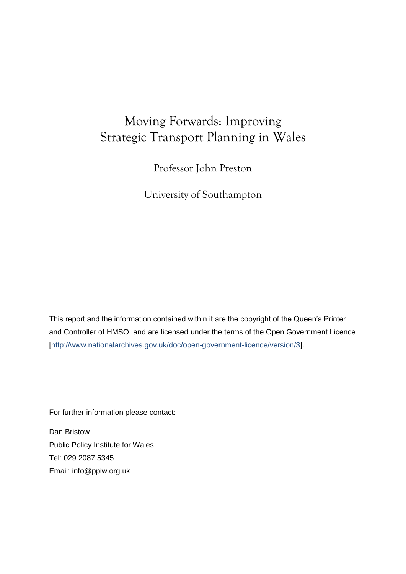# Moving Forwards: Improving Strategic Transport Planning in Wales

Professor John Preston

University of Southampton

This report and the information contained within it are the copyright of the Queen's Printer and Controller of HMSO, and are licensed under the terms of the Open Government Licence [\[http://www.nationalarchives.gov.uk/doc/open-government-licence/version/3\]](http://www.nationalarchives.gov.uk/doc/open-government-licence/version/3).

For further information please contact:

Dan Bristow Public Policy Institute for Wales Tel: 029 2087 5345 Email: [info@ppiw.org.uk](mailto:info@ppiw.org.uk)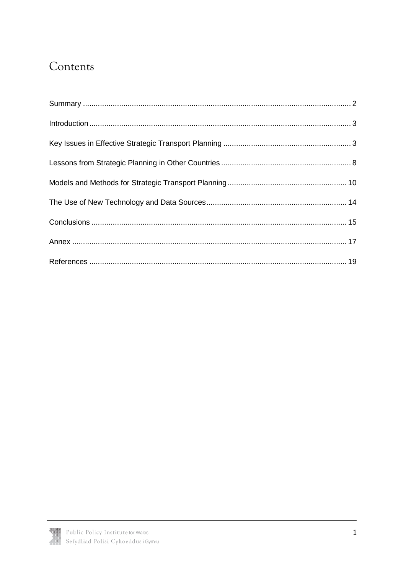# Contents

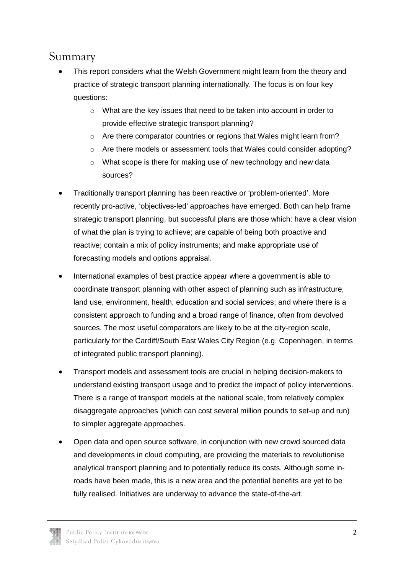## <span id="page-3-0"></span>Summary

- This report considers what the Welsh Government might learn from the theory and practice of strategic transport planning internationally. The focus is on four key questions:
	- $\circ$  What are the key issues that need to be taken into account in order to provide effective strategic transport planning?
	- o Are there comparator countries or regions that Wales might learn from?
	- $\circ$  Are there models or assessment tools that Wales could consider adopting?
	- o What scope is there for making use of new technology and new data sources?
- Traditionally transport planning has been reactive or 'problem-oriented'. More recently pro-active, 'objectives-led' approaches have emerged. Both can help frame strategic transport planning, but successful plans are those which: have a clear vision of what the plan is trying to achieve; are capable of being both proactive and reactive; contain a mix of policy instruments; and make appropriate use of forecasting models and options appraisal.
- International examples of best practice appear where a government is able to coordinate transport planning with other aspect of planning such as infrastructure, land use, environment, health, education and social services; and where there is a consistent approach to funding and a broad range of finance, often from devolved sources. The most useful comparators are likely to be at the city-region scale, particularly for the Cardiff/South East Wales City Region (e.g. Copenhagen, in terms of integrated public transport planning).
- Transport models and assessment tools are crucial in helping decision-makers to understand existing transport usage and to predict the impact of policy interventions. There is a range of transport models at the national scale, from relatively complex disaggregate approaches (which can cost several million pounds to set-up and run) to simpler aggregate approaches.
- Open data and open source software, in conjunction with new crowd sourced data and developments in cloud computing, are providing the materials to revolutionise analytical transport planning and to potentially reduce its costs. Although some inroads have been made, this is a new area and the potential benefits are yet to be fully realised. Initiatives are underway to advance the state-of-the-art.

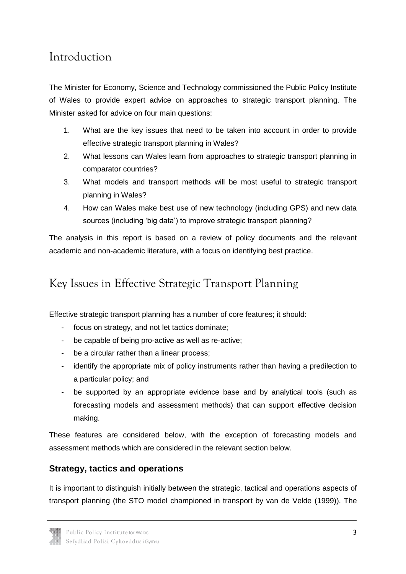# <span id="page-4-0"></span>Introduction

The Minister for Economy, Science and Technology commissioned the Public Policy Institute of Wales to provide expert advice on approaches to strategic transport planning. The Minister asked for advice on four main questions:

- 1. What are the key issues that need to be taken into account in order to provide effective strategic transport planning in Wales?
- 2. What lessons can Wales learn from approaches to strategic transport planning in comparator countries?
- 3. What models and transport methods will be most useful to strategic transport planning in Wales?
- 4. How can Wales make best use of new technology (including GPS) and new data sources (including 'big data') to improve strategic transport planning?

The analysis in this report is based on a review of policy documents and the relevant academic and non-academic literature, with a focus on identifying best practice.

# <span id="page-4-1"></span>Key Issues in Effective Strategic Transport Planning

Effective strategic transport planning has a number of core features; it should:

- focus on strategy, and not let tactics dominate;
- be capable of being pro-active as well as re-active;
- be a circular rather than a linear process;
- identify the appropriate mix of policy instruments rather than having a predilection to a particular policy; and
- be supported by an appropriate evidence base and by analytical tools (such as forecasting models and assessment methods) that can support effective decision making.

These features are considered below, with the exception of forecasting models and assessment methods which are considered in the relevant section below.

### **Strategy, tactics and operations**

It is important to distinguish initially between the strategic, tactical and operations aspects of transport planning (the STO model championed in transport by van de Velde (1999)). The

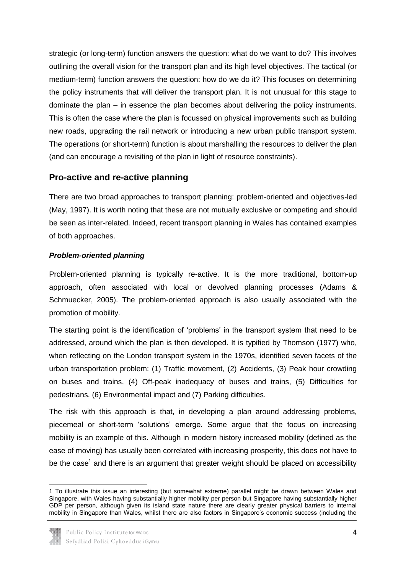strategic (or long-term) function answers the question: what do we want to do? This involves outlining the overall vision for the transport plan and its high level objectives. The tactical (or medium-term) function answers the question: how do we do it? This focuses on determining the policy instruments that will deliver the transport plan. It is not unusual for this stage to dominate the plan – in essence the plan becomes about delivering the policy instruments. This is often the case where the plan is focussed on physical improvements such as building new roads, upgrading the rail network or introducing a new urban public transport system. The operations (or short-term) function is about marshalling the resources to deliver the plan (and can encourage a revisiting of the plan in light of resource constraints).

### **Pro-active and re-active planning**

There are two broad approaches to transport planning: problem-oriented and objectives-led (May, 1997). It is worth noting that these are not mutually exclusive or competing and should be seen as inter-related. Indeed, recent transport planning in Wales has contained examples of both approaches.

#### *Problem-oriented planning*

Problem-oriented planning is typically re-active. It is the more traditional, bottom-up approach, often associated with local or devolved planning processes (Adams & Schmuecker, 2005). The problem-oriented approach is also usually associated with the promotion of mobility.

The starting point is the identification of 'problems' in the transport system that need to be addressed, around which the plan is then developed. It is typified by Thomson (1977) who, when reflecting on the London transport system in the 1970s, identified seven facets of the urban transportation problem: (1) Traffic movement, (2) Accidents, (3) Peak hour crowding on buses and trains, (4) Off-peak inadequacy of buses and trains, (5) Difficulties for pedestrians, (6) Environmental impact and (7) Parking difficulties.

The risk with this approach is that, in developing a plan around addressing problems, piecemeal or short-term 'solutions' emerge. Some argue that the focus on increasing mobility is an example of this. Although in modern history increased mobility (defined as the ease of moving) has usually been correlated with increasing prosperity, this does not have to be the case<sup>1</sup> and there is an argument that greater weight should be placed on accessibility

<sup>1</sup> To illustrate this issue an interesting (but somewhat extreme) parallel might be drawn between Wales and Singapore, with Wales having substantially higher mobility per person but Singapore having substantially higher GDP per person, although given its island state nature there are clearly greater physical barriers to internal mobility in Singapore than Wales, whilst there are also factors in Singapore's economic success (including the



**.**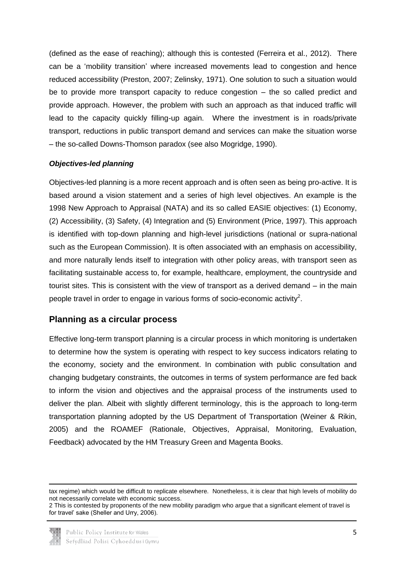(defined as the ease of reaching); although this is contested (Ferreira et al., 2012). There can be a 'mobility transition' where increased movements lead to congestion and hence reduced accessibility (Preston, 2007; Zelinsky, 1971). One solution to such a situation would be to provide more transport capacity to reduce congestion – the so called predict and provide approach. However, the problem with such an approach as that induced traffic will lead to the capacity quickly filling-up again. Where the investment is in roads/private transport, reductions in public transport demand and services can make the situation worse – the so-called Downs-Thomson paradox (see also Mogridge, 1990).

#### *Objectives-led planning*

Objectives-led planning is a more recent approach and is often seen as being pro-active. It is based around a vision statement and a series of high level objectives. An example is the 1998 New Approach to Appraisal (NATA) and its so called EASIE objectives: (1) Economy, (2) Accessibility, (3) Safety, (4) Integration and (5) Environment (Price, 1997). This approach is identified with top-down planning and high-level jurisdictions (national or supra-national such as the European Commission). It is often associated with an emphasis on accessibility, and more naturally lends itself to integration with other policy areas, with transport seen as facilitating sustainable access to, for example, healthcare, employment, the countryside and tourist sites. This is consistent with the view of transport as a derived demand – in the main people travel in order to engage in various forms of socio-economic activity<sup>2</sup>.

#### **Planning as a circular process**

Effective long-term transport planning is a circular process in which monitoring is undertaken to determine how the system is operating with respect to key success indicators relating to the economy, society and the environment. In combination with public consultation and changing budgetary constraints, the outcomes in terms of system performance are fed back to inform the vision and objectives and the appraisal process of the instruments used to deliver the plan. Albeit with slightly different terminology, this is the approach to long-term transportation planning adopted by the US Department of Transportation (Weiner & Rikin, 2005) and the ROAMEF (Rationale, Objectives, Appraisal, Monitoring, Evaluation, Feedback) advocated by the HM Treasury Green and Magenta Books.

<sup>2</sup> This is contested by proponents of the new mobility paradigm who argue that a significant element of travel is for travel' sake (Sheller and Urry, 2006).



**.** 

tax regime) which would be difficult to replicate elsewhere. Nonetheless, it is clear that high levels of mobility do not necessarily correlate with economic success.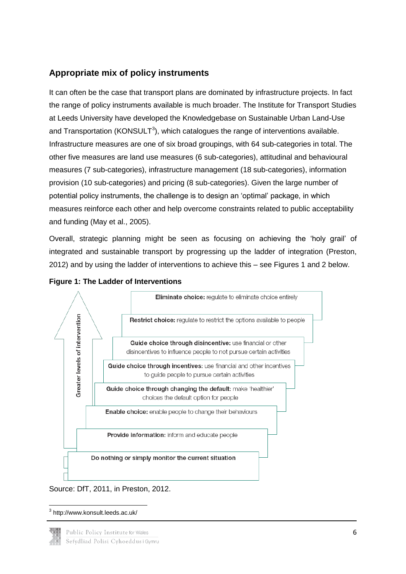### **Appropriate mix of policy instruments**

It can often be the case that transport plans are dominated by infrastructure projects. In fact the range of policy instruments available is much broader. The Institute for Transport Studies at Leeds University have developed the Knowledgebase on Sustainable Urban Land-Use and Transportation (KONSULT<sup>3</sup>), which catalogues the range of interventions available. Infrastructure measures are one of six broad groupings, with 64 sub-categories in total. The other five measures are land use measures (6 sub-categories), attitudinal and behavioural measures (7 sub-categories), infrastructure management (18 sub-categories), information provision (10 sub-categories) and pricing (8 sub-categories). Given the large number of potential policy instruments, the challenge is to design an 'optimal' package, in which measures reinforce each other and help overcome constraints related to public acceptability and funding (May et al., 2005).

Overall, strategic planning might be seen as focusing on achieving the 'holy grail' of integrated and sustainable transport by progressing up the ladder of integration (Preston, 2012) and by using the ladder of interventions to achieve this – see Figures 1 and 2 below.





Source: DfT, 2011, in Preston, 2012.

**<sup>.</sup>** 3 http://www.konsult.leeds.ac.uk/

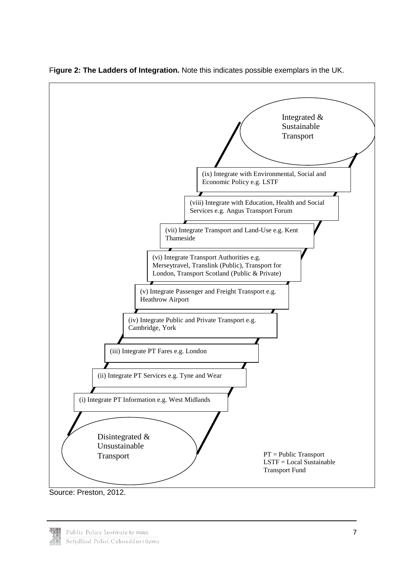

F**igure 2: The Ladders of Integration.** Note this indicates possible exemplars in the UK.

Source: Preston, 2012.

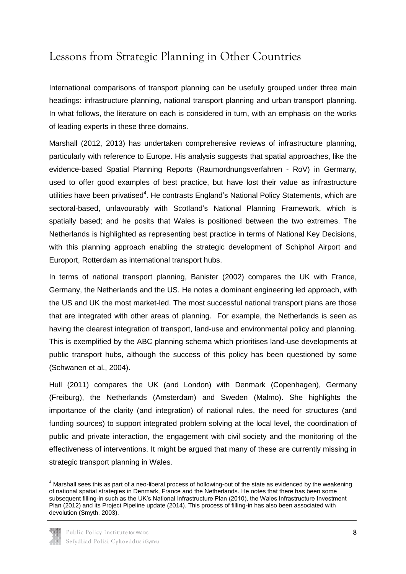# <span id="page-9-0"></span>Lessons from Strategic Planning in Other Countries

International comparisons of transport planning can be usefully grouped under three main headings: infrastructure planning, national transport planning and urban transport planning. In what follows, the literature on each is considered in turn, with an emphasis on the works of leading experts in these three domains.

Marshall (2012, 2013) has undertaken comprehensive reviews of infrastructure planning, particularly with reference to Europe. His analysis suggests that spatial approaches, like the evidence-based Spatial Planning Reports (Raumordnungsverfahren - RoV) in Germany, used to offer good examples of best practice, but have lost their value as infrastructure utilities have been privatised<sup>4</sup>. He contrasts England's National Policy Statements, which are sectoral-based, unfavourably with Scotland's National Planning Framework, which is spatially based; and he posits that Wales is positioned between the two extremes. The Netherlands is highlighted as representing best practice in terms of National Key Decisions, with this planning approach enabling the strategic development of Schiphol Airport and Europort, Rotterdam as international transport hubs.

In terms of national transport planning, Banister (2002) compares the UK with France, Germany, the Netherlands and the US. He notes a dominant engineering led approach, with the US and UK the most market-led. The most successful national transport plans are those that are integrated with other areas of planning. For example, the Netherlands is seen as having the clearest integration of transport, land-use and environmental policy and planning. This is exemplified by the ABC planning schema which prioritises land-use developments at public transport hubs, although the success of this policy has been questioned by some (Schwanen et al., 2004).

Hull (2011) compares the UK (and London) with Denmark (Copenhagen), Germany (Freiburg), the Netherlands (Amsterdam) and Sweden (Malmo). She highlights the importance of the clarity (and integration) of national rules, the need for structures (and funding sources) to support integrated problem solving at the local level, the coordination of public and private interaction, the engagement with civil society and the monitoring of the effectiveness of interventions. It might be argued that many of these are currently missing in strategic transport planning in Wales.

 $<sup>4</sup>$  Marshall sees this as part of a neo-liberal process of hollowing-out of the state as evidenced by the weakening</sup> of national spatial strategies in Denmark, France and the Netherlands. He notes that there has been some subsequent filling-in such as the UK's National Infrastructure Plan (2010), the Wales Infrastructure Investment Plan (2012) and its Project Pipeline update (2014). This process of filling-in has also been associated with devolution (Smyth, 2003).



 $\overline{a}$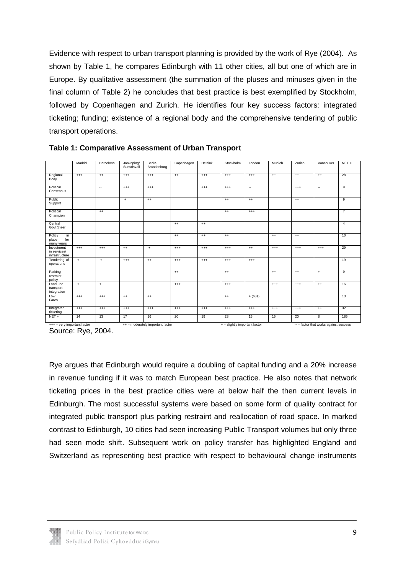Evidence with respect to urban transport planning is provided by the work of Rye (2004). As shown by Table 1, he compares Edinburgh with 11 other cities, all but one of which are in Europe. By qualitative assessment (the summation of the pluses and minuses given in the final column of Table 2) he concludes that best practice is best exemplified by Stockholm, followed by Copenhagen and Zurich. He identifies four key success factors: integrated ticketing; funding; existence of a regional body and the comprehensive tendering of public transport operations.

|                                              | Madrid   | Barcelona | Jonkoping/<br>Sunsdsvall         | Berlin-<br>Brandenburg | Copenhagen | Helsinki | Stockholm                      | London    | Munich   | Zurich                                 | Vancouver | $NET +$        |
|----------------------------------------------|----------|-----------|----------------------------------|------------------------|------------|----------|--------------------------------|-----------|----------|----------------------------------------|-----------|----------------|
| Regional<br>Body                             | $^{+++}$ | $^{++}$   | $^{+++}$                         | $^{+++}$               | $^{++}$    | $^{+++}$ | $^{++}$                        | $^{+++}$  | $^{++}$  | $^{++}$                                | $^{++}$   | 28             |
| Political<br>Consensus                       |          | $\sim$    | $^{+++}$                         | $^{+++}$               |            | $^{+++}$ | $^{+++}$                       | $\sim$    |          | $^{+++}$                               | $\sim$    | 9              |
| Public<br>Support                            |          |           | $+$                              | $^{++}$                |            |          | $^{++}$                        | $^{++}$   |          | $^{++}$                                |           | $\overline{9}$ |
| Political<br>Champion                        |          | $^{++}$   |                                  |                        |            |          | $^{++}$                        | $^{+++}$  |          |                                        |           | $\overline{7}$ |
| Central<br>Govt Steer                        |          |           |                                  |                        | $^{++}$    | $^{++}$  |                                |           |          |                                        |           | 4              |
| Policy<br>in<br>for<br>place<br>many years   |          |           |                                  |                        | $^{++}$    | $^{++}$  | $^{++}$                        |           | $^{++}$  | $^{++}$                                |           | 10             |
| Investment<br>in services/<br>infrastructure | $^{+++}$ | $^{+++}$  | $^{++}$                          | $\ddot{}$              | $^{+++}$   | $^{+++}$ | $^{++}$                        | $^{++}$   | $^{+++}$ | $^{+++}$                               | $^{+++}$  | 29             |
| Tendering of<br>operations                   | $+$      | $+$       | $^{+++}$                         | $^{++}$                | $^{+++}$   | $^{+++}$ | $^{+++}$                       | $^{+++}$  |          |                                        |           | 19             |
| Parking<br>restraint<br>policy               |          |           |                                  |                        | $^{++}$    |          | $^{++}$                        |           | $^{++}$  | $^{++}$                                | $\ddot{}$ | $\overline{9}$ |
| Land-use<br>transport<br>integration         | $+$      | $\ddot{}$ |                                  |                        | $^{+++}$   |          | $^{+++}$                       |           | $^{+++}$ | $^{+++}$                               | $^{++}$   | 16             |
| Low<br>Fares                                 | $^{++}$  | $++$      | $^{+}$                           | $++$                   |            |          | $^{++}$                        | $+$ (bus) |          |                                        |           | 13             |
| Integrated<br>ticketing                      | $^{+++}$ | $^{+++}$  | $^{+++}$                         | $^{+++}$               | $^{+++}$   | $^{+++}$ | $^{++}$                        | $^{+++}$  | $^{+++}$ | $^{+++}$                               | $^{++}$   | 32             |
| $NET +$                                      | 14       | 13        | 17                               | 16                     | 20         | 19       | 28                             | 15        | 15       | 20                                     | 8         | 185            |
| $++$ = very important factor                 |          |           | ++ = moderately important factor |                        |            |          | $+=$ slightly important factor |           |          | -- = factor that works against success |           |                |

**Table 1: Comparative Assessment of Urban Transport** 

Source: Rye, 2004.

Rye argues that Edinburgh would require a doubling of capital funding and a 20% increase in revenue funding if it was to match European best practice. He also notes that network ticketing prices in the best practice cities were at below half the then current levels in Edinburgh. The most successful systems were based on some form of quality contract for integrated public transport plus parking restraint and reallocation of road space. In marked contrast to Edinburgh, 10 cities had seen increasing Public Transport volumes but only three had seen mode shift. Subsequent work on policy transfer has highlighted England and Switzerland as representing best practice with respect to behavioural change instruments

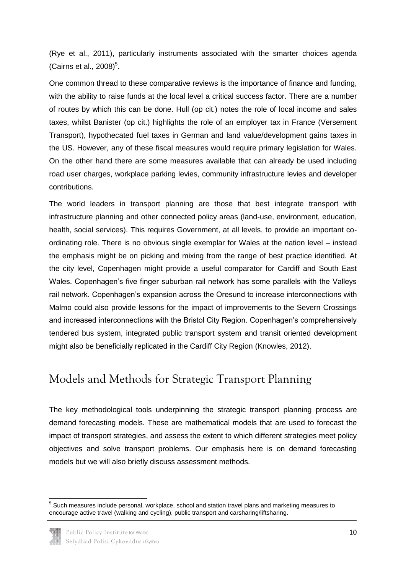(Rye et al., 2011), particularly instruments associated with the smarter choices agenda (Cairns et al.,  $2008$ <sup>5</sup>.

One common thread to these comparative reviews is the importance of finance and funding, with the ability to raise funds at the local level a critical success factor. There are a number of routes by which this can be done. Hull (op cit.) notes the role of local income and sales taxes, whilst Banister (op cit.) highlights the role of an employer tax in France (Versement Transport), hypothecated fuel taxes in German and land value/development gains taxes in the US. However, any of these fiscal measures would require primary legislation for Wales. On the other hand there are some measures available that can already be used including road user charges, workplace parking levies, community infrastructure levies and developer contributions.

The world leaders in transport planning are those that best integrate transport with infrastructure planning and other connected policy areas (land-use, environment, education, health, social services). This requires Government, at all levels, to provide an important coordinating role. There is no obvious single exemplar for Wales at the nation level – instead the emphasis might be on picking and mixing from the range of best practice identified. At the city level, Copenhagen might provide a useful comparator for Cardiff and South East Wales. Copenhagen's five finger suburban rail network has some parallels with the Valleys rail network. Copenhagen's expansion across the Oresund to increase interconnections with Malmo could also provide lessons for the impact of improvements to the Severn Crossings and increased interconnections with the Bristol City Region. Copenhagen's comprehensively tendered bus system, integrated public transport system and transit oriented development might also be beneficially replicated in the Cardiff City Region (Knowles, 2012).

## <span id="page-11-0"></span>Models and Methods for Strategic Transport Planning

The key methodological tools underpinning the strategic transport planning process are demand forecasting models. These are mathematical models that are used to forecast the impact of transport strategies, and assess the extent to which different strategies meet policy objectives and solve transport problems. Our emphasis here is on demand forecasting models but we will also briefly discuss assessment methods.

 5 Such measures include personal, workplace, school and station travel plans and marketing measures to encourage active travel (walking and cycling), public transport and carsharing/liftsharing.

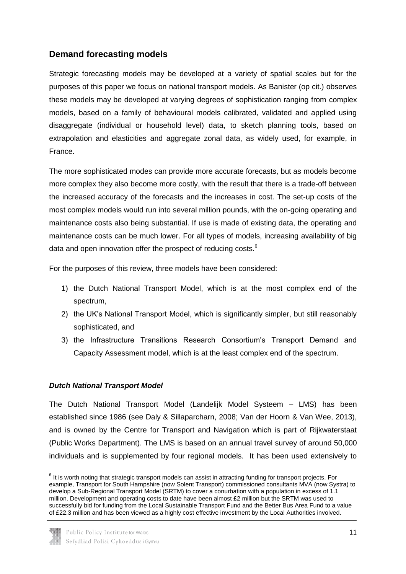### **Demand forecasting models**

Strategic forecasting models may be developed at a variety of spatial scales but for the purposes of this paper we focus on national transport models. As Banister (op cit.) observes these models may be developed at varying degrees of sophistication ranging from complex models, based on a family of behavioural models calibrated, validated and applied using disaggregate (individual or household level) data, to sketch planning tools, based on extrapolation and elasticities and aggregate zonal data, as widely used, for example, in France.

The more sophisticated modes can provide more accurate forecasts, but as models become more complex they also become more costly, with the result that there is a trade-off between the increased accuracy of the forecasts and the increases in cost. The set-up costs of the most complex models would run into several million pounds, with the on-going operating and maintenance costs also being substantial. If use is made of existing data, the operating and maintenance costs can be much lower. For all types of models, increasing availability of big data and open innovation offer the prospect of reducing costs.<sup>6</sup>

For the purposes of this review, three models have been considered:

- 1) the Dutch National Transport Model, which is at the most complex end of the spectrum,
- 2) the UK's National Transport Model, which is significantly simpler, but still reasonably sophisticated, and
- 3) the Infrastructure Transitions Research Consortium's Transport Demand and Capacity Assessment model, which is at the least complex end of the spectrum.

#### *Dutch National Transport Model*

The Dutch National Transport Model (Landelijk Model Systeem – LMS) has been established since 1986 (see Daly & Sillaparcharn, 2008; Van der Hoorn & Van Wee, 2013), and is owned by the Centre for Transport and Navigation which is part of Rijkwaterstaat (Public Works Department). The LMS is based on an annual travel survey of around 50,000 individuals and is supplemented by four regional models. It has been used extensively to

 6 It is worth noting that strategic transport models can assist in attracting funding for transport projects. For example, Transport for South Hampshire (now Solent Transport) commissioned consultants MVA (now Systra) to develop a Sub-Regional Transport Model (SRTM) to cover a conurbation with a population in excess of 1.1 million. Development and operating costs to date have been almost £2 million but the SRTM was used to successfully bid for funding from the Local Sustainable Transport Fund and the Better Bus Area Fund to a value of £22.3 million and has been viewed as a highly cost effective investment by the Local Authorities involved.

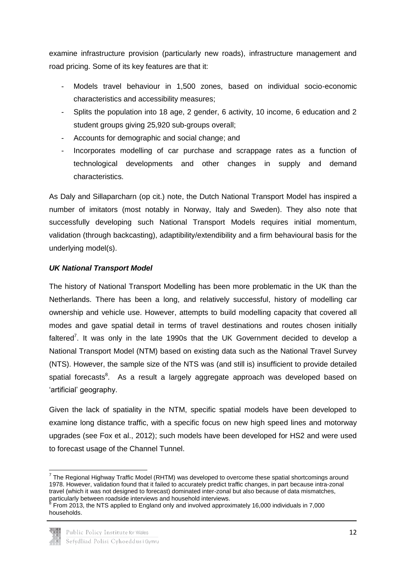examine infrastructure provision (particularly new roads), infrastructure management and road pricing. Some of its key features are that it:

- Models travel behaviour in 1,500 zones, based on individual socio-economic characteristics and accessibility measures;
- Splits the population into 18 age, 2 gender, 6 activity, 10 income, 6 education and 2 student groups giving 25,920 sub-groups overall;
- Accounts for demographic and social change; and
- Incorporates modelling of car purchase and scrappage rates as a function of technological developments and other changes in supply and demand characteristics.

As Daly and Sillaparcharn (op cit.) note, the Dutch National Transport Model has inspired a number of imitators (most notably in Norway, Italy and Sweden). They also note that successfully developing such National Transport Models requires initial momentum, validation (through backcasting), adaptibility/extendibility and a firm behavioural basis for the underlying model(s).

### *UK National Transport Model*

The history of National Transport Modelling has been more problematic in the UK than the Netherlands. There has been a long, and relatively successful, history of modelling car ownership and vehicle use. However, attempts to build modelling capacity that covered all modes and gave spatial detail in terms of travel destinations and routes chosen initially faltered<sup>7</sup>. It was only in the late 1990s that the UK Government decided to develop a National Transport Model (NTM) based on existing data such as the National Travel Survey (NTS). However, the sample size of the NTS was (and still is) insufficient to provide detailed spatial forecasts<sup>8</sup>. As a result a largely aggregate approach was developed based on 'artificial' geography.

Given the lack of spatiality in the NTM, specific spatial models have been developed to examine long distance traffic, with a specific focus on new high speed lines and motorway upgrades (see Fox et al., 2012); such models have been developed for HS2 and were used to forecast usage of the Channel Tunnel.

From 2013, the NTS applied to England only and involved approximately 16,000 individuals in 7,000 households.



**<sup>.</sup>**  $7$  The Regional Highway Traffic Model (RHTM) was developed to overcome these spatial shortcomings around 1978. However, validation found that it failed to accurately predict traffic changes, in part because intra-zonal travel (which it was not designed to forecast) dominated inter-zonal but also because of data mismatches, particularly between roadside interviews and household interviews.<br><sup>8</sup> Fram 2013, the NTS epplied to Fagland anty and involved enargy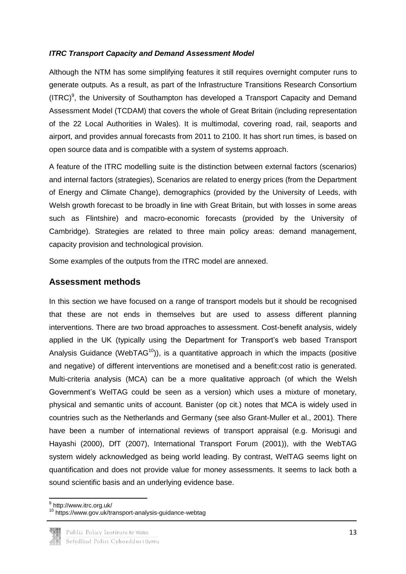#### *ITRC Transport Capacity and Demand Assessment Model*

Although the NTM has some simplifying features it still requires overnight computer runs to generate outputs. As a result, as part of the Infrastructure Transitions Research Consortium  $(ITRC)^9$ , the University of Southampton has developed a Transport Capacity and Demand Assessment Model (TCDAM) that covers the whole of Great Britain (including representation of the 22 Local Authorities in Wales). It is multimodal, covering road, rail, seaports and airport, and provides annual forecasts from 2011 to 2100. It has short run times, is based on open source data and is compatible with a system of systems approach.

A feature of the ITRC modelling suite is the distinction between external factors (scenarios) and internal factors (strategies), Scenarios are related to energy prices (from the Department of Energy and Climate Change), demographics (provided by the University of Leeds, with Welsh growth forecast to be broadly in line with Great Britain, but with losses in some areas such as Flintshire) and macro-economic forecasts (provided by the University of Cambridge). Strategies are related to three main policy areas: demand management, capacity provision and technological provision.

Some examples of the outputs from the ITRC model are annexed.

### **Assessment methods**

In this section we have focused on a range of transport models but it should be recognised that these are not ends in themselves but are used to assess different planning interventions. There are two broad approaches to assessment. Cost-benefit analysis, widely applied in the UK (typically using the Department for Transport's web based Transport Analysis Guidance (WebTAG<sup>10</sup>)), is a quantitative approach in which the impacts (positive and negative) of different interventions are monetised and a benefit:cost ratio is generated. Multi-criteria analysis (MCA) can be a more qualitative approach (of which the Welsh Government's WelTAG could be seen as a version) which uses a mixture of monetary, physical and semantic units of account. Banister (op cit.) notes that MCA is widely used in countries such as the Netherlands and Germany (see also Grant-Muller et al., 2001). There have been a number of international reviews of transport appraisal (e.g. Morisugi and Hayashi (2000), DfT (2007), International Transport Forum (2001)), with the WebTAG system widely acknowledged as being world leading. By contrast, WelTAG seems light on quantification and does not provide value for money assessments. It seems to lack both a sound scientific basis and an underlying evidence base.

13



 9 http://www.itrc.org.uk/

<sup>10</sup> https://www.gov.uk/transport-analysis-guidance-webtag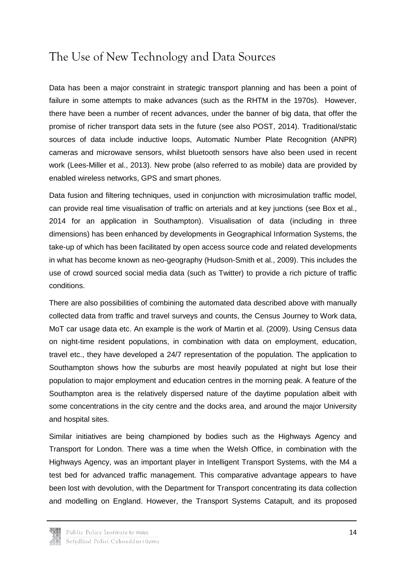# <span id="page-15-0"></span>The Use of New Technology and Data Sources

Data has been a major constraint in strategic transport planning and has been a point of failure in some attempts to make advances (such as the RHTM in the 1970s). However, there have been a number of recent advances, under the banner of big data, that offer the promise of richer transport data sets in the future (see also POST, 2014). Traditional/static sources of data include inductive loops, Automatic Number Plate Recognition (ANPR) cameras and microwave sensors, whilst bluetooth sensors have also been used in recent work (Lees-Miller et al., 2013). New probe (also referred to as mobile) data are provided by enabled wireless networks, GPS and smart phones.

Data fusion and filtering techniques, used in conjunction with microsimulation traffic model, can provide real time visualisation of traffic on arterials and at key junctions (see Box et al., 2014 for an application in Southampton). Visualisation of data (including in three dimensions) has been enhanced by developments in Geographical Information Systems, the take-up of which has been facilitated by open access source code and related developments in what has become known as neo-geography (Hudson-Smith et al., 2009). This includes the use of crowd sourced social media data (such as Twitter) to provide a rich picture of traffic conditions.

There are also possibilities of combining the automated data described above with manually collected data from traffic and travel surveys and counts, the Census Journey to Work data, MoT car usage data etc. An example is the work of Martin et al. (2009). Using Census data on night-time resident populations, in combination with data on employment, education, travel etc., they have developed a 24/7 representation of the population. The application to Southampton shows how the suburbs are most heavily populated at night but lose their population to major employment and education centres in the morning peak. A feature of the Southampton area is the relatively dispersed nature of the daytime population albeit with some concentrations in the city centre and the docks area, and around the major University and hospital sites.

Similar initiatives are being championed by bodies such as the Highways Agency and Transport for London. There was a time when the Welsh Office, in combination with the Highways Agency, was an important player in Intelligent Transport Systems, with the M4 a test bed for advanced traffic management. This comparative advantage appears to have been lost with devolution, with the Department for Transport concentrating its data collection and modelling on England. However, the Transport Systems Catapult, and its proposed

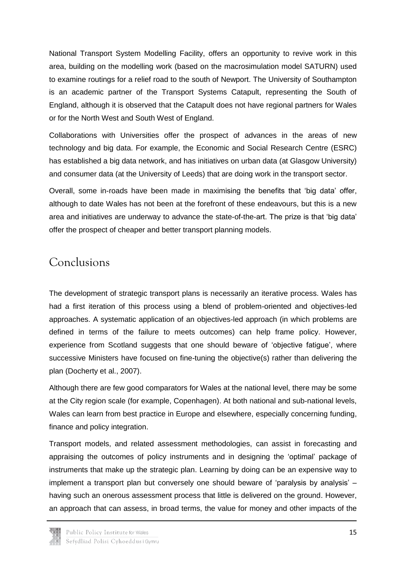National Transport System Modelling Facility, offers an opportunity to revive work in this area, building on the modelling work (based on the macrosimulation model SATURN) used to examine routings for a relief road to the south of Newport. The University of Southampton is an academic partner of the Transport Systems Catapult, representing the South of England, although it is observed that the Catapult does not have regional partners for Wales or for the North West and South West of England.

Collaborations with Universities offer the prospect of advances in the areas of new technology and big data. For example, the Economic and Social Research Centre (ESRC) has established a big data network, and has initiatives on urban data (at Glasgow University) and consumer data (at the University of Leeds) that are doing work in the transport sector.

Overall, some in-roads have been made in maximising the benefits that 'big data' offer, although to date Wales has not been at the forefront of these endeavours, but this is a new area and initiatives are underway to advance the state-of-the-art. The prize is that 'big data' offer the prospect of cheaper and better transport planning models.

## <span id="page-16-0"></span>Conclusions

The development of strategic transport plans is necessarily an iterative process. Wales has had a first iteration of this process using a blend of problem-oriented and objectives-led approaches. A systematic application of an objectives-led approach (in which problems are defined in terms of the failure to meets outcomes) can help frame policy. However, experience from Scotland suggests that one should beware of 'objective fatigue', where successive Ministers have focused on fine-tuning the objective(s) rather than delivering the plan (Docherty et al., 2007).

Although there are few good comparators for Wales at the national level, there may be some at the City region scale (for example, Copenhagen). At both national and sub-national levels, Wales can learn from best practice in Europe and elsewhere, especially concerning funding, finance and policy integration.

Transport models, and related assessment methodologies, can assist in forecasting and appraising the outcomes of policy instruments and in designing the 'optimal' package of instruments that make up the strategic plan. Learning by doing can be an expensive way to implement a transport plan but conversely one should beware of 'paralysis by analysis' – having such an onerous assessment process that little is delivered on the ground. However, an approach that can assess, in broad terms, the value for money and other impacts of the

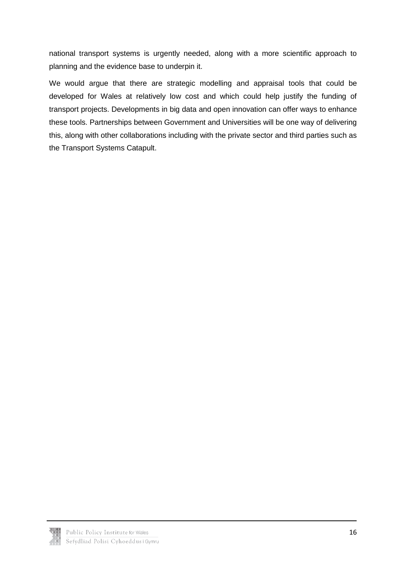national transport systems is urgently needed, along with a more scientific approach to planning and the evidence base to underpin it.

We would argue that there are strategic modelling and appraisal tools that could be developed for Wales at relatively low cost and which could help justify the funding of transport projects. Developments in big data and open innovation can offer ways to enhance these tools. Partnerships between Government and Universities will be one way of delivering this, along with other collaborations including with the private sector and third parties such as the Transport Systems Catapult.

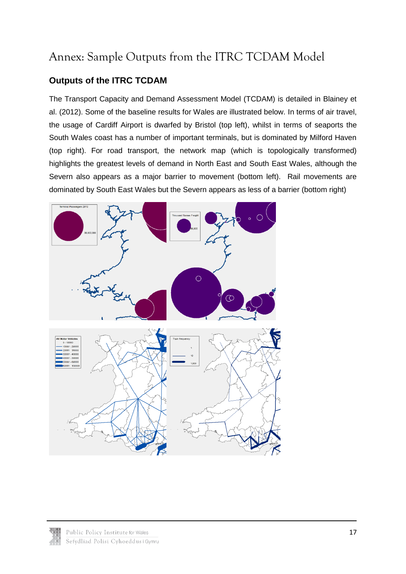# <span id="page-18-0"></span>Annex: Sample Outputs from the ITRC TCDAM Model

### **Outputs of the ITRC TCDAM**

The Transport Capacity and Demand Assessment Model (TCDAM) is detailed in Blainey et al. (2012). Some of the baseline results for Wales are illustrated below. In terms of air travel, the usage of Cardiff Airport is dwarfed by Bristol (top left), whilst in terms of seaports the South Wales coast has a number of important terminals, but is dominated by Milford Haven (top right). For road transport, the network map (which is topologically transformed) highlights the greatest levels of demand in North East and South East Wales, although the Severn also appears as a major barrier to movement (bottom left). Rail movements are dominated by South East Wales but the Severn appears as less of a barrier (bottom right)



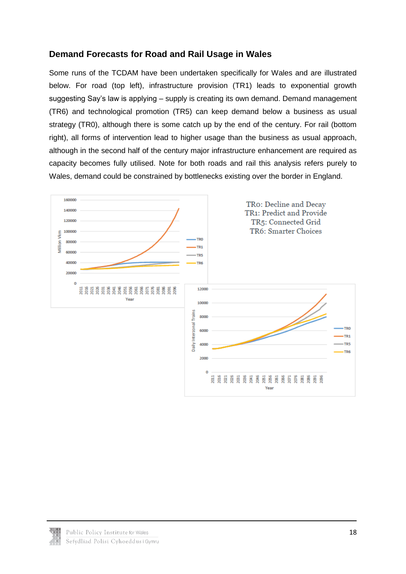### **Demand Forecasts for Road and Rail Usage in Wales**

Some runs of the TCDAM have been undertaken specifically for Wales and are illustrated below. For road (top left), infrastructure provision (TR1) leads to exponential growth suggesting Say's law is applying – supply is creating its own demand. Demand management (TR6) and technological promotion (TR5) can keep demand below a business as usual strategy (TR0), although there is some catch up by the end of the century. For rail (bottom right), all forms of intervention lead to higher usage than the business as usual approach, although in the second half of the century major infrastructure enhancement are required as capacity becomes fully utilised. Note for both roads and rail this analysis refers purely to Wales, demand could be constrained by bottlenecks existing over the border in England.



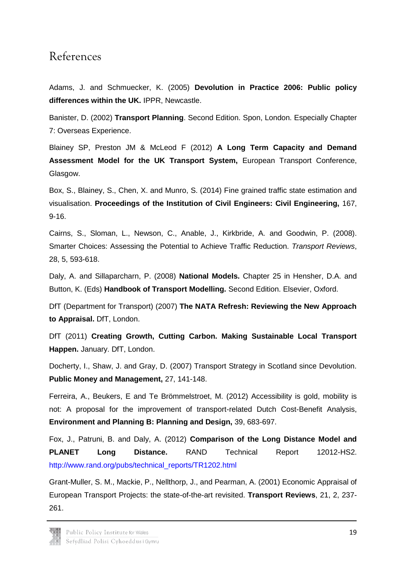### <span id="page-20-0"></span>References

Adams, J. and Schmuecker, K. (2005) **Devolution in Practice 2006: Public policy differences within the UK.** IPPR, Newcastle.

Banister, D. (2002) **Transport Planning**. Second Edition. Spon, London. Especially Chapter 7: Overseas Experience.

Blainey SP, Preston JM & McLeod F (2012) **A Long Term Capacity and Demand Assessment Model for the UK Transport System,** European Transport Conference, Glasgow.

Box, S., Blainey, S., Chen, X. and Munro, S. (2014) Fine grained traffic state estimation and visualisation. **Proceedings of the Institution of Civil Engineers: Civil Engineering,** 167, 9-16.

Cairns, S., Sloman, L., Newson, C., Anable, J., Kirkbride, A. and Goodwin, P. (2008). Smarter Choices: Assessing the Potential to Achieve Traffic Reduction. *Transport Reviews*, 28, 5, 593-618.

Daly, A. and Sillaparcharn, P. (2008) **National Models.** Chapter 25 in Hensher, D.A. and Button, K. (Eds) **Handbook of Transport Modelling.** Second Edition. Elsevier, Oxford.

DfT (Department for Transport) (2007) **The NATA Refresh: Reviewing the New Approach to Appraisal.** DfT, London.

DfT (2011) **Creating Growth, Cutting Carbon. Making Sustainable Local Transport Happen.** January. DfT, London.

Docherty, I., Shaw, J. and Gray, D. (2007) Transport Strategy in Scotland since Devolution. **Public Money and Management,** 27, 141-148.

Ferreira, A., Beukers, E and Te Brömmelstroet, M. (2012) Accessibility is gold, mobility is not: A proposal for the improvement of transport-related Dutch Cost-Benefit Analysis, **Environment and Planning B: Planning and Design,** 39, 683-697.

Fox, J., Patruni, B. and Daly, A. (2012) **Comparison of the Long Distance Model and PLANET Long Distance.** RAND Technical Report 12012-HS2. [http://www.rand.org/pubs/technical\\_reports/TR1202.html](http://www.rand.org/pubs/technical_reports/TR1202.html)

Grant-Muller, S. M., Mackie, P., Nellthorp, J., and Pearman, A. (2001) Economic Appraisal of European Transport Projects: the state-of-the-art revisited. **Transport Reviews**, 21, 2, 237- 261.

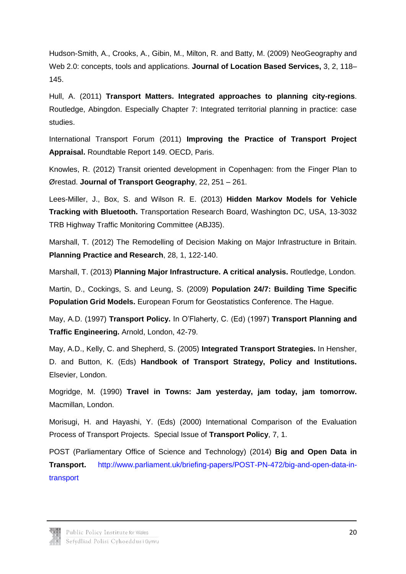Hudson-Smith, A., Crooks, A., Gibin, M., Milton, R. and Batty, M. (2009) NeoGeography and Web 2.0: concepts, tools and applications. **Journal of Location Based Services,** 3, 2, 118– 145.

Hull, A. (2011) **Transport Matters. Integrated approaches to planning city-regions**. Routledge, Abingdon. Especially Chapter 7: Integrated territorial planning in practice: case studies.

International Transport Forum (2011) **Improving the Practice of Transport Project Appraisal.** Roundtable Report 149. OECD, Paris.

Knowles, R. (2012) Transit oriented development in Copenhagen: from the Finger Plan to Ørestad. **Journal of Transport Geography**, 22, 251 – 261.

Lees-Miller, J., Box, S. and Wilson R. E. (2013) **Hidden Markov Models for Vehicle Tracking with Bluetooth.** Transportation Research Board, Washington DC, USA, 13-3032 TRB Highway Traffic Monitoring Committee (ABJ35).

Marshall, T. (2012) The Remodelling of Decision Making on Major Infrastructure in Britain. **Planning Practice and Research**, 28, 1, 122-140.

Marshall, T. (2013) **Planning Major Infrastructure. A critical analysis.** Routledge, London.

Martin, D., Cockings, S. and Leung, S. (2009) **Population 24/7: Building Time Specific Population Grid Models.** European Forum for Geostatistics Conference. The Hague.

May, A.D. (1997) **Transport Policy.** In O'Flaherty, C. (Ed) (1997) **Transport Planning and Traffic Engineering.** Arnold, London, 42-79.

May, A.D., Kelly, C. and Shepherd, S. (2005) **Integrated Transport Strategies.** In Hensher, D. and Button, K. (Eds) **Handbook of Transport Strategy, Policy and Institutions.** Elsevier, London.

Mogridge, M. (1990) **Travel in Towns: Jam yesterday, jam today, jam tomorrow.**  Macmillan, London.

Morisugi, H. and Hayashi, Y. (Eds) (2000) International Comparison of the Evaluation Process of Transport Projects. Special Issue of **Transport Policy**, 7, 1.

POST (Parliamentary Office of Science and Technology) (2014) **Big and Open Data in Transport.** [http://www.parliament.uk/briefing-papers/POST-PN-472/big-and-open-data-in](http://www.parliament.uk/briefing-papers/POST-PN-472/big-and-open-data-in-transport)[transport](http://www.parliament.uk/briefing-papers/POST-PN-472/big-and-open-data-in-transport)

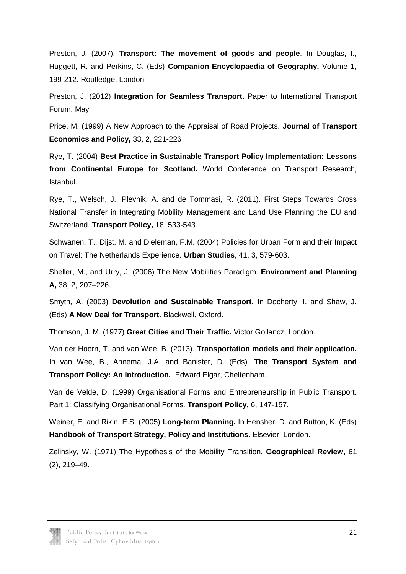Preston, J. (2007). **Transport: The movement of goods and people**. In Douglas, I., Huggett, R. and Perkins, C. (Eds) **Companion Encyclopaedia of Geography.** Volume 1, 199-212. Routledge, London

Preston, J. (2012) **Integration for Seamless Transport.** Paper to International Transport Forum, May

Price, M. (1999) A New Approach to the Appraisal of Road Projects. **Journal of Transport Economics and Policy,** 33, 2, 221-226

Rye, T. (2004) **Best Practice in Sustainable Transport Policy Implementation: Lessons from Continental Europe for Scotland.** World Conference on Transport Research, Istanbul.

Rye, T., Welsch, J., Plevnik, A. and de Tommasi, R. (2011). First Steps Towards Cross National Transfer in Integrating Mobility Management and Land Use Planning the EU and Switzerland. **Transport Policy,** 18, 533-543.

Schwanen, T., Dijst, M. and Dieleman, F.M. (2004) Policies for Urban Form and their Impact on Travel: The Netherlands Experience. **Urban Studies**, 41, 3, 579-603.

Sheller, M., and Urry, J. (2006) The New Mobilities Paradigm. **Environment and Planning A,** 38, 2, 207–226.

Smyth, A. (2003) **Devolution and Sustainable Transport.** In Docherty, I. and Shaw, J. (Eds) **A New Deal for Transport.** Blackwell, Oxford.

Thomson, J. M. (1977) **Great Cities and Their Traffic.** Victor Gollancz, London.

Van der Hoorn, T. and van Wee, B. (2013). **Transportation models and their application.**  In van Wee, B., Annema, J.A. and Banister, D. (Eds). **The Transport System and Transport Policy: An Introduction.** Edward Elgar, Cheltenham.

Van de Velde, D. (1999) Organisational Forms and Entrepreneurship in Public Transport. Part 1: Classifying Organisational Forms. **Transport Policy,** 6, 147-157.

Weiner, E. and Rikin, E.S. (2005) **Long-term Planning.** In Hensher, D. and Button, K. (Eds) **Handbook of Transport Strategy, Policy and Institutions.** Elsevier, London.

Zelinsky, W. (1971) The Hypothesis of the Mobility Transition. **Geographical Review,** 61 (2), 219–49.